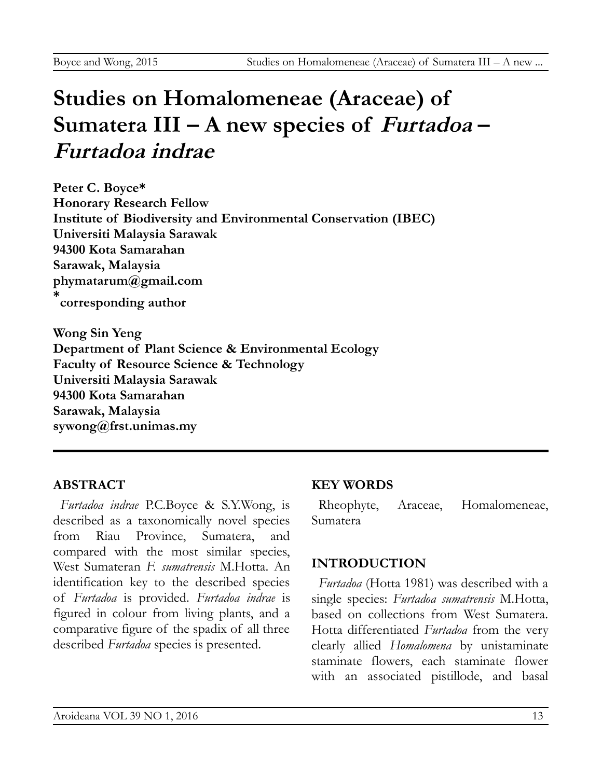# **Studies on Homalomeneae (Araceae) of Sumatera III – A new species of Furtadoa – Furtadoa indrae**

**Peter C. Boyce\* Honorary Research Fellow Institute of Biodiversity and Environmental Conservation (IBEC) Universiti Malaysia Sarawak 94300 Kota Samarahan Sarawak, Malaysia phymatarum@gmail.com \* corresponding author**

**Wong Sin Yeng Department of Plant Science & Environmental Ecology Faculty of Resource Science & Technology Universiti Malaysia Sarawak 94300 Kota Samarahan Sarawak, Malaysia sywong@frst.unimas.my**

### **ABSTRACT**

*Furtadoa indrae* P.C.Boyce & S.Y.Wong, is described as a taxonomically novel species from Riau Province, Sumatera, and compared with the most similar species, West Sumateran *F. sumatrensis* M.Hotta. An identification key to the described species of *Furtadoa* is provided. *Furtadoa indrae* is figured in colour from living plants, and a comparative figure of the spadix of all three described *Furtadoa* species is presented.

### **KEY WORDS**

Rheophyte, Araceae, Homalomeneae, Sumatera

### **INTRODUCTION**

*Furtadoa* (Hotta 1981) was described with a single species: *Furtadoa sumatrensis* M.Hotta, based on collections from West Sumatera. Hotta differentiated *Furtadoa* from the very clearly allied *Homalomena* by unistaminate staminate flowers, each staminate flower with an associated pistillode, and basal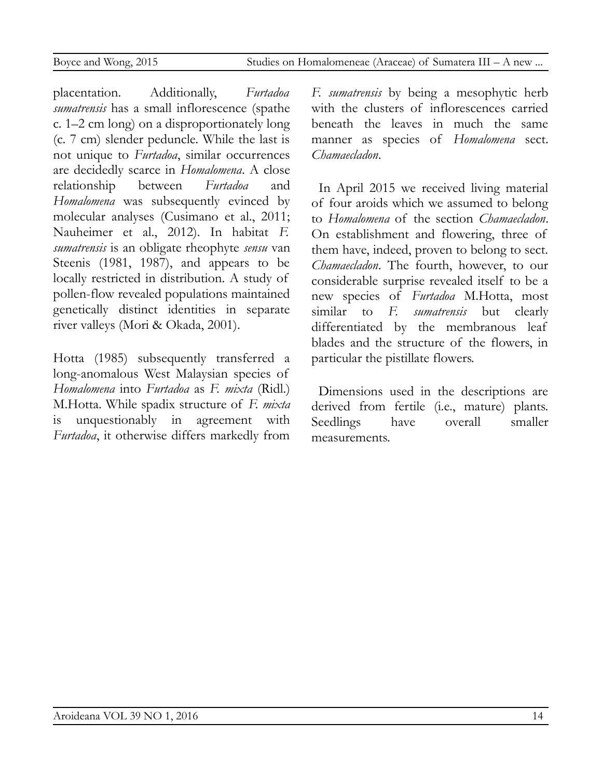placentation. Additionally, *Furtadoa sumatrensis* has a small inflorescence (spathe c. 1–2 cm long) on a disproportionately long (c. 7 cm) slender peduncle. While the last is not unique to *Furtadoa*, similar occurrences are decidedly scarce in *Homalomena*. A close relationship between *Furtadoa* and *Homalomena* was subsequently evinced by molecular analyses (Cusimano et al., 2011; Nauheimer et al., 2012). In habitat *F. sumatrensis* is an obligate rheophyte *sensu* van Steenis (1981, 1987), and appears to be locally restricted in distribution. A study of pollen-flow revealed populations maintained genetically distinct identities in separate river valleys (Mori & Okada, 2001).

Hotta (1985) subsequently transferred a long-anomalous West Malaysian species of *Homalomena* into *Furtadoa* as *F. mixta* (Ridl.) M.Hotta. While spadix structure of *F. mixta* is unquestionably in agreement with *Furtadoa*, it otherwise differs markedly from

*F. sumatrensis* by being a mesophytic herb with the clusters of inflorescences carried beneath the leaves in much the same manner as species of *Homalomena* sect. *Chamaecladon*.

In April 2015 we received living material of four aroids which we assumed to belong to *Homalomena* of the section *Chamaecladon*. On establishment and flowering, three of them have, indeed, proven to belong to sect. *Chamaecladon*. The fourth, however, to our considerable surprise revealed itself to be a new species of *Furtadoa* M.Hotta, most similar to *F. sumatrensis* but clearly differentiated by the membranous leaf blades and the structure of the flowers, in particular the pistillate flowers.

Dimensions used in the descriptions are derived from fertile (i.e., mature) plants. Seedlings have overall smaller measurements.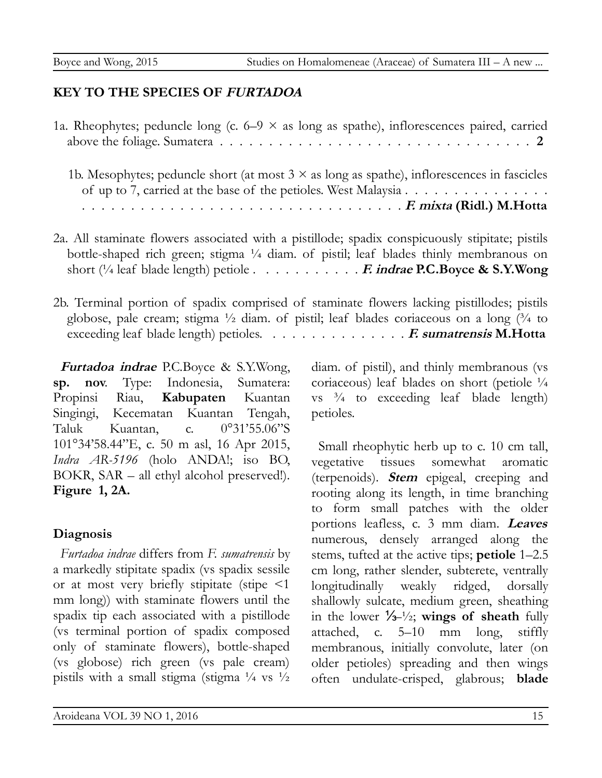## **KEY TO THE SPECIES OF FURTADOA**

1a. Rheophytes; peduncle long (c.  $6-9 \times$  as long as spathe), inflorescences paired, carried above the foliage. Sumatera . . . . . . . . . . . . . . . . . . . . . . . . . . . . . . . . **2**

1b. Mesophytes; peduncle short (at most  $3 \times$  as long as spathe), inflorescences in fascicles of up to 7, carried at the base of the petioles. West Malaysia . . . . . . . . . . . . . . . . . . . . . . . . . . . . . . . . . . . . . . . . . . . . . . . . . **F. mixta (Ridl.) M.Hotta**

- 2a. All staminate flowers associated with a pistillode; spadix conspicuously stipitate; pistils bottle-shaped rich green; stigma ¼ diam. of pistil; leaf blades thinly membranous on short (¼ leaf blade length) petiole . . . . . . . . . . . **F. indrae P.C.Boyce & S.Y.Wong**
- 2b. Terminal portion of spadix comprised of staminate flowers lacking pistillodes; pistils globose, pale cream; stigma  $\frac{1}{2}$  diam. of pistil; leaf blades coriaceous on a long  $\frac{3}{4}$  to exceeding leaf blade length) petioles. . . . . . . . . . . . . . . **F. sumatrensis M.Hotta**

**Furtadoa indrae** P.C.Boyce & S.Y.Wong, **sp. nov**. Type: Indonesia, Sumatera: Propinsi Riau, **Kabupaten** Kuantan Singingi, Kecematan Kuantan Tengah, Taluk Kuantan, c. 0°31'55.06"S 101°34'58.44"E, c. 50 m asl, 16 Apr 2015, *Indra AR-5196* (holo ANDA!; iso BO, BOKR, SAR – all ethyl alcohol preserved!). **Figure 1, 2A.**

## **Diagnosis**

*Furtadoa indrae* differs from *F. sumatrensis* by a markedly stipitate spadix (vs spadix sessile or at most very briefly stipitate (stipe <1 mm long)) with staminate flowers until the spadix tip each associated with a pistillode (vs terminal portion of spadix composed only of staminate flowers), bottle-shaped (vs globose) rich green (vs pale cream) pistils with a small stigma (stigma  $\frac{1}{4}$  vs  $\frac{1}{2}$ )

diam. of pistil), and thinly membranous (vs coriaceous) leaf blades on short (petiole ¼ vs  $\frac{3}{4}$  to exceeding leaf blade length) petioles.

Small rheophytic herb up to c. 10 cm tall, vegetative tissues somewhat aromatic (terpenoids). **Stem** epigeal, creeping and rooting along its length, in time branching to form small patches with the older portions leafless, c. 3 mm diam. **Leaves** numerous, densely arranged along the stems, tufted at the active tips; **petiole** 1–2.5 cm long, rather slender, subterete, ventrally longitudinally weakly ridged, dorsally shallowly sulcate, medium green, sheathing in the lower ⅓–½; **wings of sheath** fully attached, c. 5–10 mm long, stiffly membranous, initially convolute, later (on older petioles) spreading and then wings often undulate-crisped, glabrous; **blade**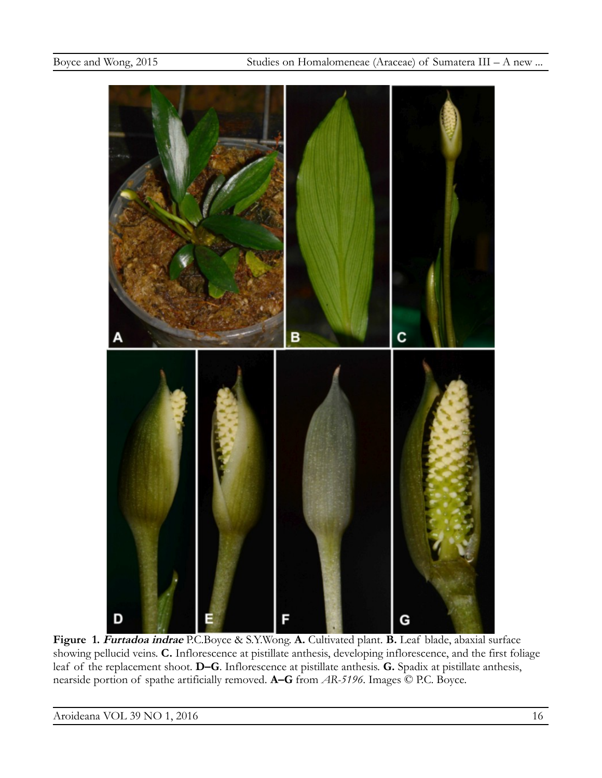

**Figure 1. Furtadoa indrae** P.C.Boyce & S.Y.Wong. **A.** Cultivated plant. **B.** Leaf blade, abaxial surface showing pellucid veins. **C.** Inflorescence at pistillate anthesis, developing inflorescence, and the first foliage leaf of the replacement shoot. **D–G**. Inflorescence at pistillate anthesis. **G.** Spadix at pistillate anthesis, nearside portion of spathe artificially removed. **A–G** from *AR-5196*. Images © P.C. Boyce.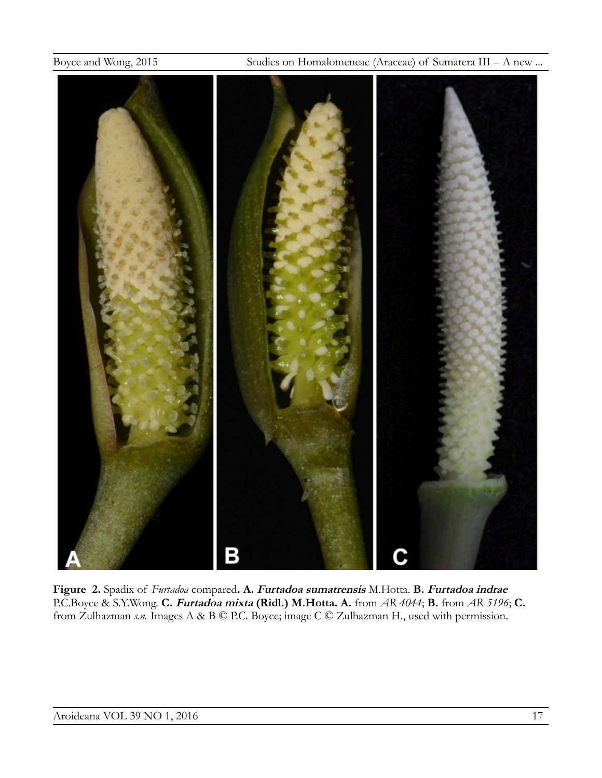Boyce and Wong, 2015 Studies on Homalomeneae (Araceae) of Sumatera III – A new ...



**Figure 2.** Spadix of *Furtadoa* compared**. A. Furtadoa sumatrensis** M.Hotta. **B. Furtadoa indrae** P.C.Boyce & S.Y.Wong. **C. Furtadoa mixta (Ridl.) M.Hotta. A.** from *AR-4044*; **B.** from *AR-5196*; **C.**  from Zulhazman *s.n.* Images A & B © P.C. Boyce; image C © Zulhazman H., used with permission.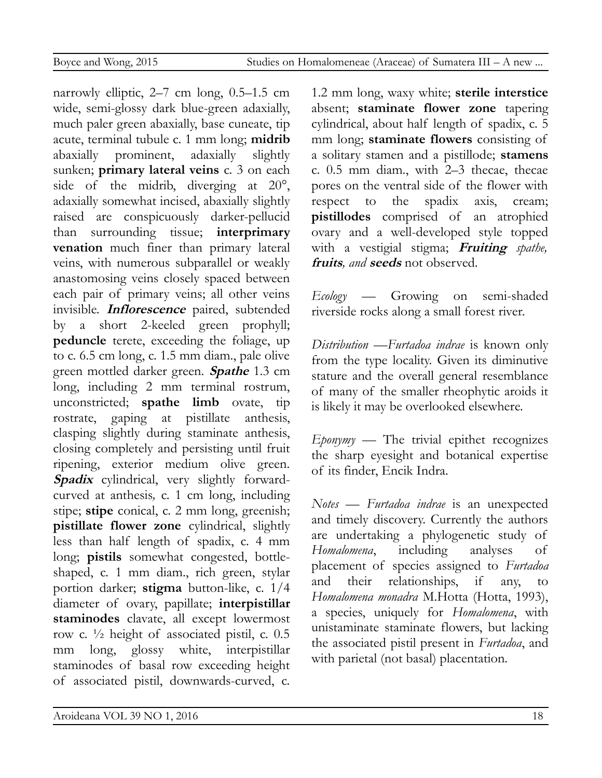narrowly elliptic, 2–7 cm long, 0.5–1.5 cm wide, semi-glossy dark blue-green adaxially, much paler green abaxially, base cuneate, tip acute, terminal tubule c. 1 mm long; **midrib** abaxially prominent, adaxially slightly sunken; **primary lateral veins** c. 3 on each side of the midrib, diverging at 20°, adaxially somewhat incised, abaxially slightly raised are conspicuously darker-pellucid than surrounding tissue; **interprimary venation** much finer than primary lateral veins, with numerous subparallel or weakly anastomosing veins closely spaced between each pair of primary veins; all other veins invisible. **Inflorescence** paired, subtended by a short 2-keeled green prophyll; **peduncle** terete, exceeding the foliage, up to c. 6.5 cm long, c. 1.5 mm diam., pale olive green mottled darker green. **Spathe** 1.3 cm long, including 2 mm terminal rostrum, unconstricted; **spathe limb** ovate, tip rostrate, gaping at pistillate anthesis, clasping slightly during staminate anthesis, closing completely and persisting until fruit ripening, exterior medium olive green. **Spadix** cylindrical, very slightly forwardcurved at anthesis*,* c. 1 cm long, including stipe; **stipe** conical, c. 2 mm long, greenish; **pistillate flower zone** cylindrical, slightly less than half length of spadix, c. 4 mm long; **pistils** somewhat congested, bottleshaped, c. 1 mm diam., rich green, stylar portion darker; **stigma** button-like, c. 1/4 diameter of ovary, papillate; **interpistillar staminodes** clavate, all except lowermost row c. ½ height of associated pistil, c. 0.5 mm long, glossy white, interpistillar staminodes of basal row exceeding height of associated pistil, downwards-curved, c.

1.2 mm long, waxy white; **sterile interstice** absent; **staminate flower zone** tapering cylindrical, about half length of spadix, c. 5 mm long; **staminate flowers** consisting of a solitary stamen and a pistillode; **stamens** c. 0.5 mm diam., with 2–3 thecae, thecae pores on the ventral side of the flower with respect to the spadix axis, cream; **pistillodes** comprised of an atrophied ovary and a well-developed style topped with a vestigial stigma; **Fruiting** *spathe,* **fruits***, and* **seeds** not observed.

*Ecology* — Growing on semi-shaded riverside rocks along a small forest river.

*Distribution* —*Furtadoa indrae* is known only from the type locality. Given its diminutive stature and the overall general resemblance of many of the smaller rheophytic aroids it is likely it may be overlooked elsewhere.

*Eponymy* — The trivial epithet recognizes the sharp eyesight and botanical expertise of its finder, Encik Indra.

*Notes* — *Furtadoa indrae* is an unexpected and timely discovery. Currently the authors are undertaking a phylogenetic study of *Homalomena*, including analyses of placement of species assigned to *Furtadoa* and their relationships, if any, to *Homalomena monadra* M.Hotta (Hotta, 1993), a species, uniquely for *Homalomena*, with unistaminate staminate flowers, but lacking the associated pistil present in *Furtadoa*, and with parietal (not basal) placentation.